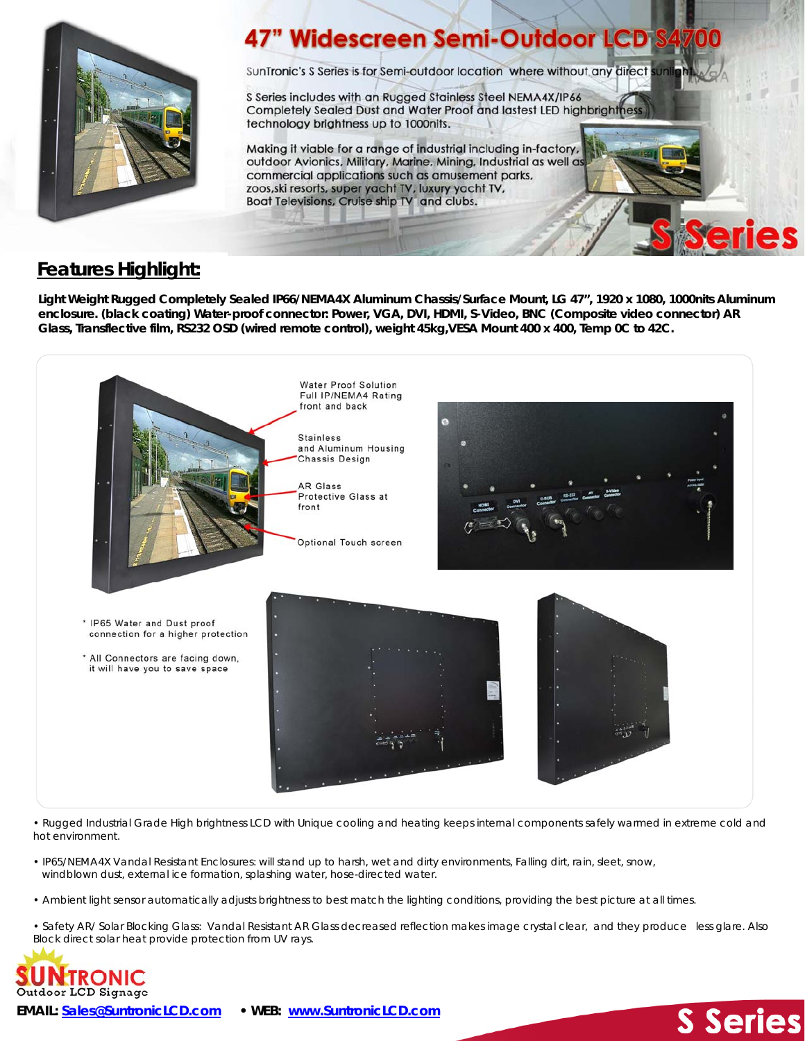

## **47" Widescreen Semi-Outdoor LCD**

SunTronic's S Series is for Semi-outdoor location where without any direct

S Series includes with an Rugged Stainless Steel NEMA4X/IP66 Completely Sealed Dust and Water Proof and lastest LED highbrightnes technology brightness up to 1000nits.

Making it viable for a range of industrial including in-factory, outdoor Avionics, Military, Marine, Mining, Industrial as well as commercial applications such as amusement parks, zoos, ski resorts, super yacht TV, luxury yacht TV, Boat Televisions, Cruise ship TV and clubs.

## **Features Highlight:**

**Light Weight Rugged Completely Sealed IP66/NEMA4X Aluminum Chassis/Surface Mount, LG 47", 1920 x 1080, 1000nits Aluminum enclosure. (black coating) Water-proof connector: Power, VGA, DVI, HDMI, S-Video, BNC (Composite video connector) AR Glass, Transflective film, RS232 OSD (wired remote control), weight 45kg,VESA Mount 400 x 400, Temp 0C to 42C.** 



• Rugged Industrial Grade High brightness LCD with Unique cooling and heating keeps internal components safely warmed in extreme cold and hot environment.

- IP65/NEMA4X Vandal Resistant Enclosures: will stand up to harsh, wet and dirty environments, Falling dirt, rain, sleet, snow, windblown dust, external ice formation, splashing water, hose-directed water.
- Ambient light sensor automatically adjusts brightness to best match the lighting conditions, providing the best picture at all times.
- Safety AR/ Solar Blocking Glass: Vandal Resistant AR Glass decreased reflection makes image crystal clear, and they produce less glare. Also Block direct solar heat provide protection from UV rays.

**S** Series